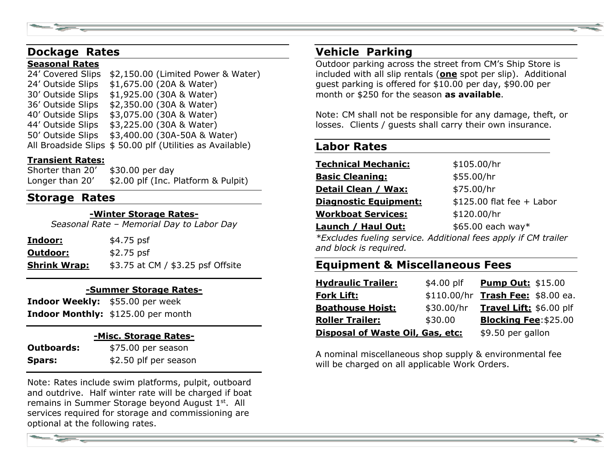# **Dockage Rates**

#### **Seasonal Rates**

24' Covered Slips \$2,150.00 (Limited Power & Water) 24' Outside Slips \$1,675.00 (20A & Water) 30' Outside Slips \$1,925.00 (30A & Water) 36' Outside Slips \$2,350.00 (30A & Water) 40' Outside Slips \$3,075.00 (30A & Water) 44' Outside Slips \$3,225.00 (30A & Water) 50' Outside Slips \$3,400.00 (30A-50A & Water) All Broadside Slips \$ 50.00 plf (Utilities as Available)

### **Transient Rates:**

Shorter than 20' \$30.00 per day Longer than 20' \$2.00 plf (Inc. Platform & Pulpit)

### **Storage Rates**

#### **-Winter Storage Rates-**

*Seasonal Rate – Memorial Day to Labor Day*

| <u>Indoor:</u>      | \$4.75 psf                        |
|---------------------|-----------------------------------|
| Outdoor:            | $$2.75$ psf                       |
| <b>Shrink Wrap:</b> | \$3.75 at CM / \$3.25 psf Offsite |

#### **-Summer Storage Rates-**

**Indoor Weekly:** \$55.00 per week **Indoor Monthly:** \$125.00 per month

#### **-Misc. Storage Rates-**

| <b>Outboards:</b> | \$75.00 per season    |
|-------------------|-----------------------|
| Spars:            | \$2.50 plf per season |

Note: Rates include swim platforms, pulpit, outboard and outdrive. Half winter rate will be charged if boat remains in Summer Storage beyond August 1st. All services required for storage and commissioning are optional at the following rates.

# **Vehicle Parking**

Outdoor parking across the street from CM's Ship Store is included with all slip rentals (**one** spot per slip). Additional guest parking is offered for \$10.00 per day, \$90.00 per month or \$250 for the season **as available**.

Note: CM shall not be responsible for any damage, theft, or losses. Clients / guests shall carry their own insurance.

### **Labor Rates**

| <u> Technical Mechanic:</u>  | \$105.00/hr                |
|------------------------------|----------------------------|
| <u> Basic Cleaning:</u>      | \$55.00/hr                 |
| <b>Detail Clean / Wax:</b>   | \$75.00/hr                 |
| <b>Diagnostic Equipment:</b> | $$125.00$ flat fee + Labor |
| <u> Workboat Services:</u>   | \$120.00/hr                |
| Launch / Haul Out:           | $$65.00$ each way*         |
|                              |                            |

*\*Excludes fueling service. Additional fees apply if CM trailer and block is required.*

# **Equipment & Miscellaneous Fees**

| <b>Hydraulic Trailer:</b>        | \$4.00 plf | <b>Pump Out: \$15.00</b>          |
|----------------------------------|------------|-----------------------------------|
| <b>Fork Lift:</b>                |            | \$110.00/hr Trash Fee: \$8.00 ea. |
| <b>Boathouse Hoist:</b>          | \$30.00/hr | Travel Lift: \$6.00 plf           |
| <b>Roller Trailer:</b>           | \$30.00    | <b>Blocking Fee: \$25.00</b>      |
| Disposal of Waste Oil, Gas, etc: |            | \$9.50 per gallon                 |

A nominal miscellaneous shop supply & environmental fee will be charged on all applicable Work Orders.